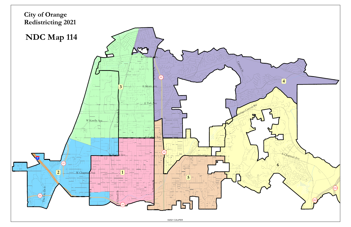